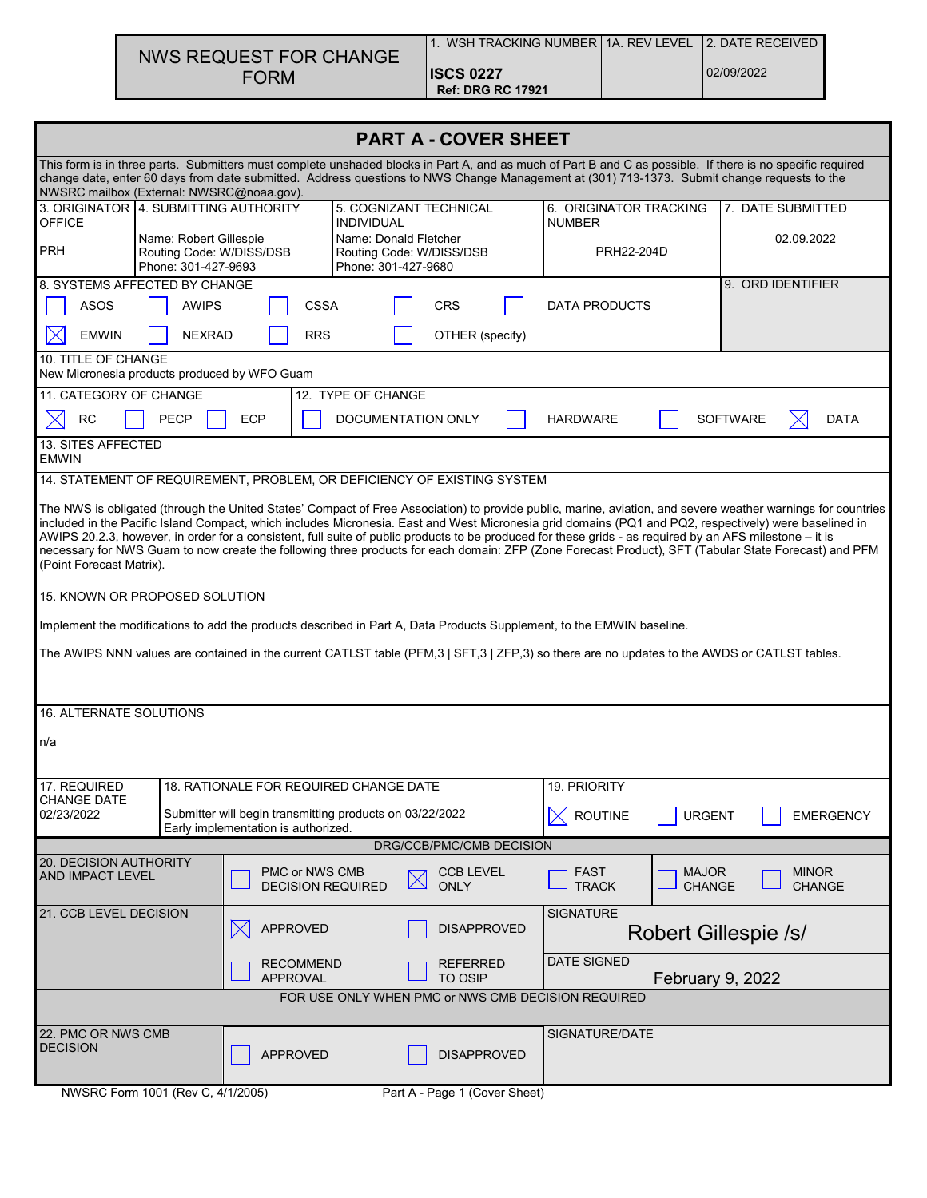| NWS REQUEST FOR CHANGE |  |
|------------------------|--|
| <b>FORM</b>            |  |

| <b>PART A - COVER SHEET</b>                                                                                                                                                                                                                                                                                                                                                                                                                                                                                                                                                                                                                                            |                                                                                                                                                       |                                            |                                   |                                                |                    |                                         |                               |                   |                               |
|------------------------------------------------------------------------------------------------------------------------------------------------------------------------------------------------------------------------------------------------------------------------------------------------------------------------------------------------------------------------------------------------------------------------------------------------------------------------------------------------------------------------------------------------------------------------------------------------------------------------------------------------------------------------|-------------------------------------------------------------------------------------------------------------------------------------------------------|--------------------------------------------|-----------------------------------|------------------------------------------------|--------------------|-----------------------------------------|-------------------------------|-------------------|-------------------------------|
| This form is in three parts. Submitters must complete unshaded blocks in Part A, and as much of Part B and C as possible. If there is no specific required<br>change date, enter 60 days from date submitted. Address questions to NWS Change Management at (301) 713-1373. Submit change requests to the<br>NWSRC mailbox (External: NWSRC@noaa.gov).                                                                                                                                                                                                                                                                                                                 |                                                                                                                                                       |                                            |                                   |                                                |                    |                                         |                               |                   |                               |
| 3. ORIGINATOR 4. SUBMITTING AUTHORITY<br><b>OFFICE</b>                                                                                                                                                                                                                                                                                                                                                                                                                                                                                                                                                                                                                 |                                                                                                                                                       |                                            | <b>INDIVIDUAL</b>                 | 5. COGNIZANT TECHNICAL                         |                    | 6. ORIGINATOR TRACKING<br><b>NUMBER</b> |                               | 7. DATE SUBMITTED |                               |
| <b>PRH</b>                                                                                                                                                                                                                                                                                                                                                                                                                                                                                                                                                                                                                                                             | Name: Donald Fletcher<br>Name: Robert Gillespie<br>Routing Code: W/DISS/DSB<br>Routing Code: W/DISS/DSB<br>Phone: 301-427-9693<br>Phone: 301-427-9680 |                                            |                                   |                                                | PRH22-204D         |                                         |                               | 02.09.2022        |                               |
| 8. SYSTEMS AFFECTED BY CHANGE<br><b>ASOS</b><br><b>AWIPS</b><br><b>CSSA</b><br><b>CRS</b>                                                                                                                                                                                                                                                                                                                                                                                                                                                                                                                                                                              |                                                                                                                                                       |                                            |                                   |                                                |                    | <b>DATA PRODUCTS</b>                    |                               | 9. ORD IDENTIFIER |                               |
| <b>EMWIN</b><br>IХ                                                                                                                                                                                                                                                                                                                                                                                                                                                                                                                                                                                                                                                     | <b>NEXRAD</b>                                                                                                                                         | <b>RRS</b>                                 |                                   | OTHER (specify)                                |                    |                                         |                               |                   |                               |
| 10. TITLE OF CHANGE<br>New Micronesia products produced by WFO Guam                                                                                                                                                                                                                                                                                                                                                                                                                                                                                                                                                                                                    |                                                                                                                                                       |                                            |                                   |                                                |                    |                                         |                               |                   |                               |
| 11. CATEGORY OF CHANGE                                                                                                                                                                                                                                                                                                                                                                                                                                                                                                                                                                                                                                                 |                                                                                                                                                       |                                            | 12. TYPE OF CHANGE                |                                                |                    |                                         |                               |                   |                               |
| <b>RC</b><br>13. SITES AFFECTED                                                                                                                                                                                                                                                                                                                                                                                                                                                                                                                                                                                                                                        | <b>PECP</b>                                                                                                                                           | <b>ECP</b>                                 |                                   | <b>DOCUMENTATION ONLY</b>                      |                    | <b>HARDWARE</b>                         |                               | <b>SOFTWARE</b>   | $\times$<br>DATA              |
| <b>EMWIN</b>                                                                                                                                                                                                                                                                                                                                                                                                                                                                                                                                                                                                                                                           |                                                                                                                                                       |                                            |                                   |                                                |                    |                                         |                               |                   |                               |
| 14. STATEMENT OF REQUIREMENT, PROBLEM, OR DEFICIENCY OF EXISTING SYSTEM                                                                                                                                                                                                                                                                                                                                                                                                                                                                                                                                                                                                |                                                                                                                                                       |                                            |                                   |                                                |                    |                                         |                               |                   |                               |
| The NWS is obligated (through the United States' Compact of Free Association) to provide public, marine, aviation, and severe weather warnings for countries<br>included in the Pacific Island Compact, which includes Micronesia. East and West Micronesia grid domains (PQ1 and PQ2, respectively) were baselined in<br>AWIPS 20.2.3, however, in order for a consistent, full suite of public products to be produced for these grids - as required by an AFS milestone - it is<br>necessary for NWS Guam to now create the following three products for each domain: ZFP (Zone Forecast Product), SFT (Tabular State Forecast) and PFM<br>(Point Forecast Matrix). |                                                                                                                                                       |                                            |                                   |                                                |                    |                                         |                               |                   |                               |
| 15. KNOWN OR PROPOSED SOLUTION                                                                                                                                                                                                                                                                                                                                                                                                                                                                                                                                                                                                                                         |                                                                                                                                                       |                                            |                                   |                                                |                    |                                         |                               |                   |                               |
| Implement the modifications to add the products described in Part A, Data Products Supplement, to the EMWIN baseline.                                                                                                                                                                                                                                                                                                                                                                                                                                                                                                                                                  |                                                                                                                                                       |                                            |                                   |                                                |                    |                                         |                               |                   |                               |
| The AWIPS NNN values are contained in the current CATLST table (PFM,3   SFT,3   ZFP,3) so there are no updates to the AWDS or CATLST tables.                                                                                                                                                                                                                                                                                                                                                                                                                                                                                                                           |                                                                                                                                                       |                                            |                                   |                                                |                    |                                         |                               |                   |                               |
| <b>16. ALTERNATE SOLUTIONS</b>                                                                                                                                                                                                                                                                                                                                                                                                                                                                                                                                                                                                                                         |                                                                                                                                                       |                                            |                                   |                                                |                    |                                         |                               |                   |                               |
| n/a                                                                                                                                                                                                                                                                                                                                                                                                                                                                                                                                                                                                                                                                    |                                                                                                                                                       |                                            |                                   |                                                |                    |                                         |                               |                   |                               |
| 17. REQUIRED<br>CHANGE DATE                                                                                                                                                                                                                                                                                                                                                                                                                                                                                                                                                                                                                                            | 18. RATIONALE FOR REQUIRED CHANGE DATE                                                                                                                |                                            |                                   |                                                |                    | 19. PRIORITY                            |                               |                   |                               |
| 02/23/2022                                                                                                                                                                                                                                                                                                                                                                                                                                                                                                                                                                                                                                                             | Submitter will begin transmitting products on 03/22/2022<br>Early implementation is authorized.                                                       |                                            |                                   |                                                |                    | <b>ROUTINE</b><br>IX                    | <b>URGENT</b>                 |                   | <b>EMERGENCY</b>              |
| 20. DECISION AUTHORITY                                                                                                                                                                                                                                                                                                                                                                                                                                                                                                                                                                                                                                                 |                                                                                                                                                       |                                            |                                   | DRG/CCB/PMC/CMB DECISION                       |                    |                                         |                               |                   |                               |
| AND IMPACT LEVEL                                                                                                                                                                                                                                                                                                                                                                                                                                                                                                                                                                                                                                                       |                                                                                                                                                       | PMC or NWS CMB<br><b>DECISION REQUIRED</b> |                                   | <b>CCB LEVEL</b><br>$\boxtimes$<br><b>ONLY</b> |                    | <b>FAST</b><br><b>TRACK</b>             | <b>MAJOR</b><br><b>CHANGE</b> |                   | <b>MINOR</b><br><b>CHANGE</b> |
| 21. CCB LEVEL DECISION                                                                                                                                                                                                                                                                                                                                                                                                                                                                                                                                                                                                                                                 |                                                                                                                                                       | <b>APPROVED</b>                            |                                   | <b>DISAPPROVED</b>                             |                    | <b>SIGNATURE</b>                        | Robert Gillespie /s/          |                   |                               |
| <b>RECOMMEND</b><br><b>APPROVAL</b>                                                                                                                                                                                                                                                                                                                                                                                                                                                                                                                                                                                                                                    |                                                                                                                                                       |                                            | <b>REFERRED</b><br><b>TO OSIP</b> |                                                | <b>DATE SIGNED</b> | <b>February 9, 2022</b>                 |                               |                   |                               |
| FOR USE ONLY WHEN PMC or NWS CMB DECISION REQUIRED                                                                                                                                                                                                                                                                                                                                                                                                                                                                                                                                                                                                                     |                                                                                                                                                       |                                            |                                   |                                                |                    |                                         |                               |                   |                               |
| 22. PMC OR NWS CMB<br><b>DECISION</b><br><b>APPROVED</b><br><b>DISAPPROVED</b>                                                                                                                                                                                                                                                                                                                                                                                                                                                                                                                                                                                         |                                                                                                                                                       |                                            |                                   |                                                | SIGNATURE/DATE     |                                         |                               |                   |                               |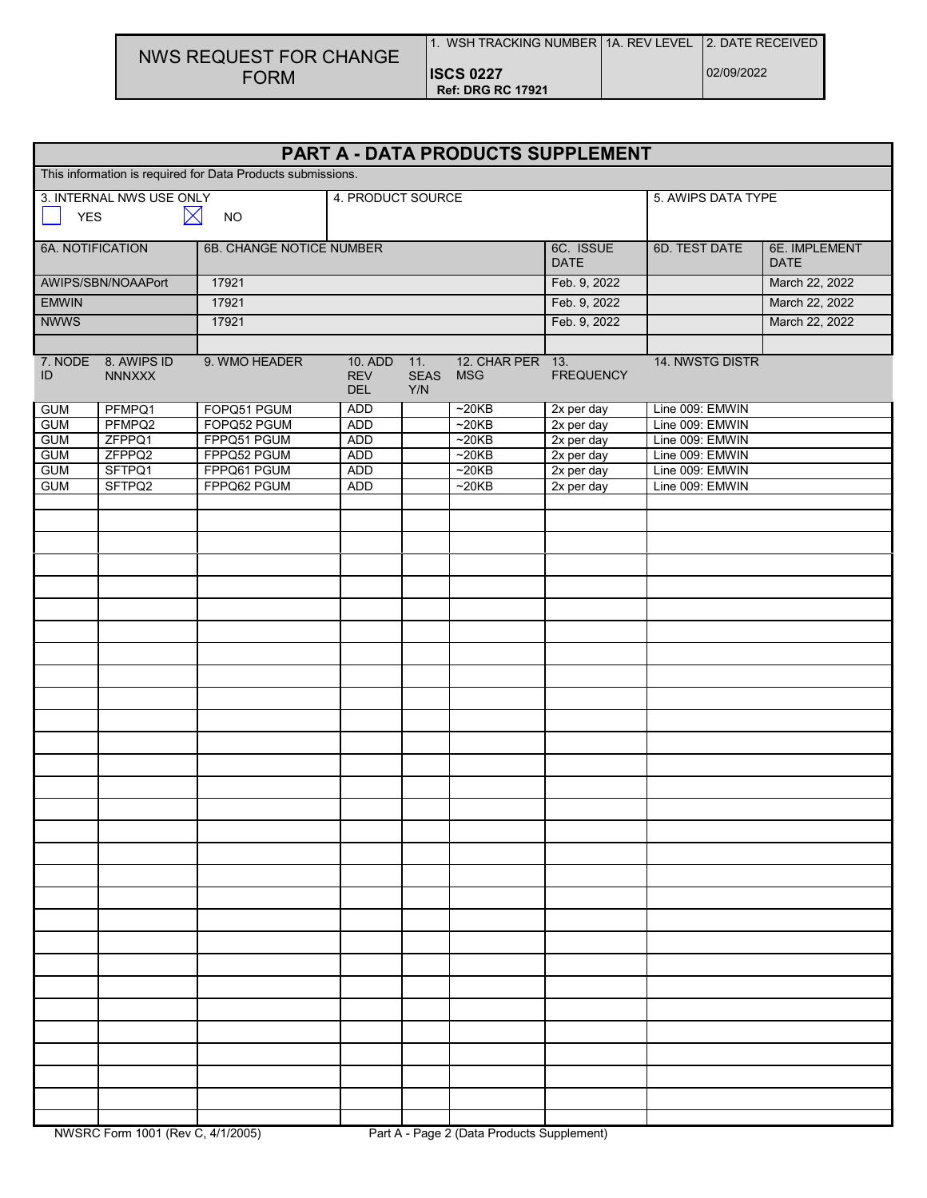## NWS REQUEST FOR CHANGE FORM

| 1. WSH TRACKING NUMBER 1A. REV LEVEL         |  |
|----------------------------------------------|--|
| <b>ISCS 0227</b><br><b>Ref: DRG RC 17921</b> |  |

2. DATE RECEIVED

| PART A - DATA PRODUCTS SUPPLEMENT                           |                                      |               |                                     |                           |                                |                          |                    |                              |
|-------------------------------------------------------------|--------------------------------------|---------------|-------------------------------------|---------------------------|--------------------------------|--------------------------|--------------------|------------------------------|
| This information is required for Data Products submissions. |                                      |               |                                     |                           |                                |                          |                    |                              |
|                                                             | 3. INTERNAL NWS USE ONLY             |               | 4. PRODUCT SOURCE                   |                           |                                |                          | 5. AWIPS DATA TYPE |                              |
| $\boxtimes$<br><b>YES</b><br><b>NO</b>                      |                                      |               |                                     |                           |                                |                          |                    |                              |
| <b>6A. NOTIFICATION</b><br>6B. CHANGE NOTICE NUMBER         |                                      |               |                                     |                           |                                | 6C. ISSUE<br><b>DATE</b> | 6D. TEST DATE      | 6E. IMPLEMENT<br><b>DATE</b> |
|                                                             | AWIPS/SBN/NOAAPort                   | 17921         |                                     |                           |                                | Feb. 9, 2022             |                    | March 22, 2022               |
| <b>EMWIN</b>                                                |                                      | 17921         |                                     |                           |                                | Feb. 9, 2022             | March 22, 2022     |                              |
| <b>NWWS</b>                                                 |                                      | 17921         |                                     |                           |                                | Feb. 9, 2022             |                    | March 22, 2022               |
|                                                             |                                      |               |                                     |                           |                                |                          |                    |                              |
| ID                                                          | 7. NODE 8. AWIPS ID<br><b>NNNXXX</b> | 9. WMO HEADER | 10. ADD<br><b>REV</b><br><b>DEL</b> | 11.<br><b>SEAS</b><br>Y/N | 12. CHAR PER 13.<br><b>MSG</b> | <b>FREQUENCY</b>         | 14. NWSTG DISTR    |                              |
| <b>GUM</b>                                                  | PFMPQ1                               | FOPQ51 PGUM   | ADD                                 |                           | ~20KB                          | 2x per day               | Line 009: EMWIN    |                              |
| <b>GUM</b>                                                  | PFMPQ2                               | FOPQ52 PGUM   | <b>ADD</b>                          |                           | ~20KB                          | 2x per day               | Line 009: EMWIN    |                              |
| <b>GUM</b>                                                  | ZFPPQ1                               | FPPQ51 PGUM   | <b>ADD</b>                          |                           | ~20KB                          | 2x per day               | Line 009: EMWIN    |                              |
| <b>GUM</b>                                                  | ZFPPQ2                               | FPPQ52 PGUM   | <b>ADD</b>                          |                           | ~20KB                          | 2x per day               | Line 009: EMWIN    |                              |
| <b>GUM</b>                                                  | SFTPQ1                               | FPPQ61 PGUM   | <b>ADD</b>                          |                           | ~20KB                          | $2x$ per day             | Line 009: EMWIN    |                              |
| <b>GUM</b>                                                  | SFTPQ2                               | FPPQ62 PGUM   | <b>ADD</b>                          |                           | ~20KB                          | 2x per day               | Line 009: EMWIN    |                              |
|                                                             |                                      |               |                                     |                           |                                |                          |                    |                              |
|                                                             |                                      |               |                                     |                           |                                |                          |                    |                              |
|                                                             |                                      |               |                                     |                           |                                |                          |                    |                              |
|                                                             |                                      |               |                                     |                           |                                |                          |                    |                              |
|                                                             |                                      |               |                                     |                           |                                |                          |                    |                              |
|                                                             |                                      |               |                                     |                           |                                |                          |                    |                              |
|                                                             |                                      |               |                                     |                           |                                |                          |                    |                              |
|                                                             |                                      |               |                                     |                           |                                |                          |                    |                              |
|                                                             |                                      |               |                                     |                           |                                |                          |                    |                              |
|                                                             |                                      |               |                                     |                           |                                |                          |                    |                              |
|                                                             |                                      |               |                                     |                           |                                |                          |                    |                              |
|                                                             |                                      |               |                                     |                           |                                |                          |                    |                              |
|                                                             |                                      |               |                                     |                           |                                |                          |                    |                              |
|                                                             |                                      |               |                                     |                           |                                |                          |                    |                              |
|                                                             |                                      |               |                                     |                           |                                |                          |                    |                              |
|                                                             |                                      |               |                                     |                           |                                |                          |                    |                              |
|                                                             |                                      |               |                                     |                           |                                |                          |                    |                              |
|                                                             |                                      |               |                                     |                           |                                |                          |                    |                              |
|                                                             |                                      |               |                                     |                           |                                |                          |                    |                              |
|                                                             |                                      |               |                                     |                           |                                |                          |                    |                              |
|                                                             |                                      |               |                                     |                           |                                |                          |                    |                              |
|                                                             |                                      |               |                                     |                           |                                |                          |                    |                              |
|                                                             |                                      |               |                                     |                           |                                |                          |                    |                              |
|                                                             |                                      |               |                                     |                           |                                |                          |                    |                              |
|                                                             |                                      |               |                                     |                           |                                |                          |                    |                              |
|                                                             |                                      |               |                                     |                           |                                |                          |                    |                              |
|                                                             |                                      |               |                                     |                           |                                |                          |                    |                              |
|                                                             |                                      |               |                                     |                           |                                |                          |                    |                              |
|                                                             |                                      |               |                                     |                           |                                |                          |                    |                              |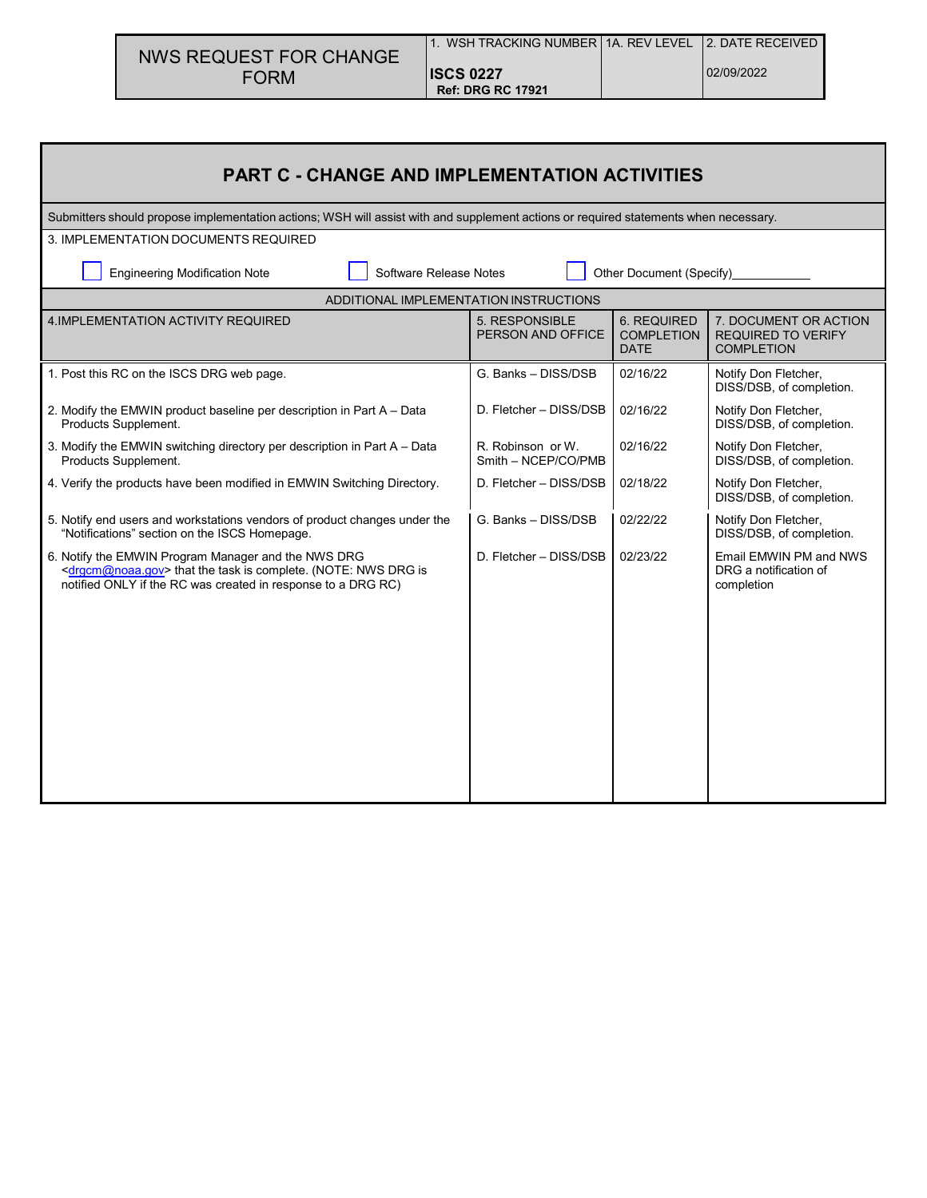|                        | l 1. WSH TRACKING NUMBER   1A. REV LEVEL   2. DATE RECEIVED |            |
|------------------------|-------------------------------------------------------------|------------|
| NWS REQUEST FOR CHANGE |                                                             |            |
| <b>FORM</b>            | <b>ISCS 0227</b>                                            | 02/09/2022 |
|                        | <b>Ref: DRG RC 17921</b>                                    |            |

| <b>PART C - CHANGE AND IMPLEMENTATION ACTIVITIES</b>                                                                                                                                                   |                                          |                                                 |                                                                         |  |  |  |  |  |
|--------------------------------------------------------------------------------------------------------------------------------------------------------------------------------------------------------|------------------------------------------|-------------------------------------------------|-------------------------------------------------------------------------|--|--|--|--|--|
| Submitters should propose implementation actions; WSH will assist with and supplement actions or required statements when necessary.                                                                   |                                          |                                                 |                                                                         |  |  |  |  |  |
| 3. IMPLEMENTATION DOCUMENTS REQUIRED                                                                                                                                                                   |                                          |                                                 |                                                                         |  |  |  |  |  |
| Software Release Notes<br><b>Engineering Modification Note</b><br>Other Document (Specify)_                                                                                                            |                                          |                                                 |                                                                         |  |  |  |  |  |
| ADDITIONAL IMPLEMENTATION INSTRUCTIONS                                                                                                                                                                 |                                          |                                                 |                                                                         |  |  |  |  |  |
| 4. IMPLEMENTATION ACTIVITY REQUIRED                                                                                                                                                                    | 5. RESPONSIBLE<br>PERSON AND OFFICE      | 6. REQUIRED<br><b>COMPLETION</b><br><b>DATE</b> | 7. DOCUMENT OR ACTION<br><b>REQUIRED TO VERIFY</b><br><b>COMPLETION</b> |  |  |  |  |  |
| 1. Post this RC on the ISCS DRG web page.                                                                                                                                                              | G. Banks - DISS/DSB                      | 02/16/22                                        | Notify Don Fletcher,<br>DISS/DSB, of completion.                        |  |  |  |  |  |
| 2. Modify the EMWIN product baseline per description in Part A – Data<br>Products Supplement.                                                                                                          | D. Fletcher - DISS/DSB                   | 02/16/22                                        | Notify Don Fletcher,<br>DISS/DSB, of completion.                        |  |  |  |  |  |
| 3. Modify the EMWIN switching directory per description in Part A - Data<br>Products Supplement.                                                                                                       | R. Robinson or W.<br>Smith - NCEP/CO/PMB | 02/16/22                                        | Notify Don Fletcher,<br>DISS/DSB, of completion.                        |  |  |  |  |  |
| 4. Verify the products have been modified in EMWIN Switching Directory.                                                                                                                                | D. Fletcher - DISS/DSB                   | 02/18/22                                        | Notify Don Fletcher,<br>DISS/DSB, of completion.                        |  |  |  |  |  |
| 5. Notify end users and workstations vendors of product changes under the<br>"Notifications" section on the ISCS Homepage.                                                                             | G. Banks - DISS/DSB                      | 02/22/22                                        | Notify Don Fletcher,<br>DISS/DSB, of completion.                        |  |  |  |  |  |
| 6. Notify the EMWIN Program Manager and the NWS DRG<br><drgcm@noaa.gov> that the task is complete. (NOTE: NWS DRG is<br/>notified ONLY if the RC was created in response to a DRG RC)</drgcm@noaa.gov> | D. Fletcher - DISS/DSB                   | 02/23/22                                        | Email EMWIN PM and NWS<br>DRG a notification of<br>completion           |  |  |  |  |  |
|                                                                                                                                                                                                        |                                          |                                                 |                                                                         |  |  |  |  |  |
|                                                                                                                                                                                                        |                                          |                                                 |                                                                         |  |  |  |  |  |
|                                                                                                                                                                                                        |                                          |                                                 |                                                                         |  |  |  |  |  |
|                                                                                                                                                                                                        |                                          |                                                 |                                                                         |  |  |  |  |  |
|                                                                                                                                                                                                        |                                          |                                                 |                                                                         |  |  |  |  |  |
|                                                                                                                                                                                                        |                                          |                                                 |                                                                         |  |  |  |  |  |